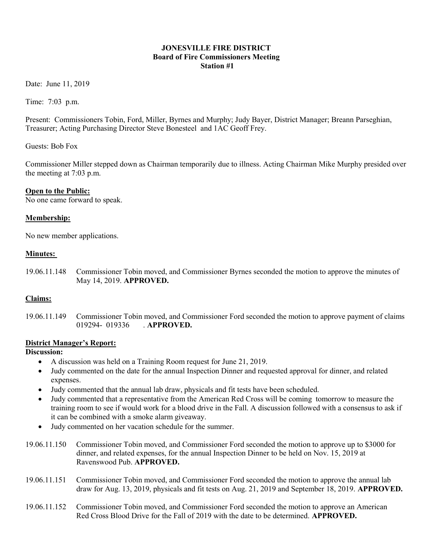#### JONESVILLE FIRE DISTRICT Board of Fire Commissioners Meeting Station #1

Date: June 11, 2019

Time: 7:03 p.m.

Present: Commissioners Tobin, Ford, Miller, Byrnes and Murphy; Judy Bayer, District Manager; Breann Parseghian, Treasurer; Acting Purchasing Director Steve Bonesteel and 1AC Geoff Frey.

Guests: Bob Fox

Commissioner Miller stepped down as Chairman temporarily due to illness. Acting Chairman Mike Murphy presided over the meeting at 7:03 p.m.

#### Open to the Public:

No one came forward to speak.

#### Membership:

No new member applications.

#### Minutes:

19.06.11.148 Commissioner Tobin moved, and Commissioner Byrnes seconded the motion to approve the minutes of May 14, 2019. APPROVED.

#### Claims:

19.06.11.149 Commissioner Tobin moved, and Commissioner Ford seconded the motion to approve payment of claims 019294- 019336 . **APPROVED.** 

#### District Manager's Report:

## Discussion:

- A discussion was held on a Training Room request for June 21, 2019.
- Judy commented on the date for the annual Inspection Dinner and requested approval for dinner, and related expenses.
- Judy commented that the annual lab draw, physicals and fit tests have been scheduled.
- Judy commented that a representative from the American Red Cross will be coming tomorrow to measure the training room to see if would work for a blood drive in the Fall. A discussion followed with a consensus to ask if it can be combined with a smoke alarm giveaway.
- Judy commented on her vacation schedule for the summer.
- 19.06.11.150 Commissioner Tobin moved, and Commissioner Ford seconded the motion to approve up to \$3000 for dinner, and related expenses, for the annual Inspection Dinner to be held on Nov. 15, 2019 at Ravenswood Pub. APPROVED.
- 19.06.11.151 Commissioner Tobin moved, and Commissioner Ford seconded the motion to approve the annual lab draw for Aug. 13, 2019, physicals and fit tests on Aug. 21, 2019 and September 18, 2019. APPROVED.
- 19.06.11.152 Commissioner Tobin moved, and Commissioner Ford seconded the motion to approve an American Red Cross Blood Drive for the Fall of 2019 with the date to be determined. APPROVED.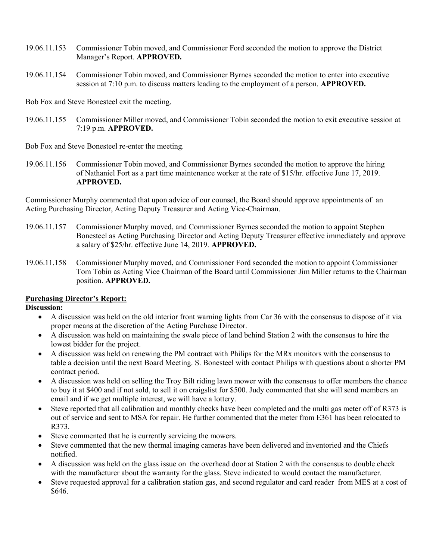- 19.06.11.153 Commissioner Tobin moved, and Commissioner Ford seconded the motion to approve the District Manager's Report. APPROVED.
- 19.06.11.154 Commissioner Tobin moved, and Commissioner Byrnes seconded the motion to enter into executive session at 7:10 p.m. to discuss matters leading to the employment of a person. APPROVED.

Bob Fox and Steve Bonesteel exit the meeting.

19.06.11.155 Commissioner Miller moved, and Commissioner Tobin seconded the motion to exit executive session at 7:19 p.m. APPROVED.

Bob Fox and Steve Bonesteel re-enter the meeting.

19.06.11.156 Commissioner Tobin moved, and Commissioner Byrnes seconded the motion to approve the hiring of Nathaniel Fort as a part time maintenance worker at the rate of \$15/hr. effective June 17, 2019. APPROVED.

Commissioner Murphy commented that upon advice of our counsel, the Board should approve appointments of an Acting Purchasing Director, Acting Deputy Treasurer and Acting Vice-Chairman.

- 19.06.11.157 Commissioner Murphy moved, and Commissioner Byrnes seconded the motion to appoint Stephen Bonesteel as Acting Purchasing Director and Acting Deputy Treasurer effective immediately and approve a salary of \$25/hr. effective June 14, 2019. APPROVED.
- 19.06.11.158 Commissioner Murphy moved, and Commissioner Ford seconded the motion to appoint Commissioner Tom Tobin as Acting Vice Chairman of the Board until Commissioner Jim Miller returns to the Chairman position. APPROVED.

#### Purchasing Director's Report:

#### Discussion:

- A discussion was held on the old interior front warning lights from Car 36 with the consensus to dispose of it via proper means at the discretion of the Acting Purchase Director.
- A discussion was held on maintaining the swale piece of land behind Station 2 with the consensus to hire the lowest bidder for the project.
- A discussion was held on renewing the PM contract with Philips for the MRx monitors with the consensus to table a decision until the next Board Meeting. S. Bonesteel with contact Philips with questions about a shorter PM contract period.
- A discussion was held on selling the Troy Bilt riding lawn mower with the consensus to offer members the chance to buy it at \$400 and if not sold, to sell it on craigslist for \$500. Judy commented that she will send members an email and if we get multiple interest, we will have a lottery.
- Steve reported that all calibration and monthly checks have been completed and the multi gas meter off of R373 is out of service and sent to MSA for repair. He further commented that the meter from E361 has been relocated to R373.
- Steve commented that he is currently servicing the mowers.
- Steve commented that the new thermal imaging cameras have been delivered and inventoried and the Chiefs notified.
- A discussion was held on the glass issue on the overhead door at Station 2 with the consensus to double check with the manufacturer about the warranty for the glass. Steve indicated to would contact the manufacturer.
- Steve requested approval for a calibration station gas, and second regulator and card reader from MES at a cost of \$646.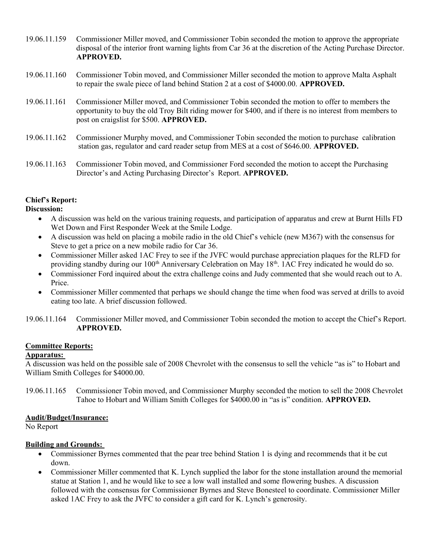- 19.06.11.159 Commissioner Miller moved, and Commissioner Tobin seconded the motion to approve the appropriate disposal of the interior front warning lights from Car 36 at the discretion of the Acting Purchase Director. APPROVED.
- 19.06.11.160 Commissioner Tobin moved, and Commissioner Miller seconded the motion to approve Malta Asphalt to repair the swale piece of land behind Station 2 at a cost of \$4000.00. APPROVED.
- 19.06.11.161 Commissioner Miller moved, and Commissioner Tobin seconded the motion to offer to members the opportunity to buy the old Troy Bilt riding mower for \$400, and if there is no interest from members to post on craigslist for \$500. APPROVED.
- 19.06.11.162 Commissioner Murphy moved, and Commissioner Tobin seconded the motion to purchase calibration station gas, regulator and card reader setup from MES at a cost of \$646.00. APPROVED.
- 19.06.11.163 Commissioner Tobin moved, and Commissioner Ford seconded the motion to accept the Purchasing Director's and Acting Purchasing Director's Report. APPROVED.

# Chief's Report:

## Discussion:

- A discussion was held on the various training requests, and participation of apparatus and crew at Burnt Hills FD Wet Down and First Responder Week at the Smile Lodge.
- A discussion was held on placing a mobile radio in the old Chief's vehicle (new M367) with the consensus for Steve to get a price on a new mobile radio for Car 36.
- Commissioner Miller asked 1AC Frey to see if the JVFC would purchase appreciation plaques for the RLFD for providing standby during our 100<sup>th</sup> Anniversary Celebration on May 18<sup>th</sup>. 1AC Frey indicated he would do so.
- Commissioner Ford inquired about the extra challenge coins and Judy commented that she would reach out to A. Price.
- Commissioner Miller commented that perhaps we should change the time when food was served at drills to avoid eating too late. A brief discussion followed.
- 19.06.11.164 Commissioner Miller moved, and Commissioner Tobin seconded the motion to accept the Chief's Report. APPROVED.

## Committee Reports:

## Apparatus:

A discussion was held on the possible sale of 2008 Chevrolet with the consensus to sell the vehicle "as is" to Hobart and William Smith Colleges for \$4000.00.

19.06.11.165 Commissioner Tobin moved, and Commissioner Murphy seconded the motion to sell the 2008 Chevrolet Tahoe to Hobart and William Smith Colleges for \$4000.00 in "as is" condition. APPROVED.

## Audit/Budget/Insurance:

No Report

## Building and Grounds:

- Commissioner Byrnes commented that the pear tree behind Station 1 is dying and recommends that it be cut down.
- Commissioner Miller commented that K. Lynch supplied the labor for the stone installation around the memorial statue at Station 1, and he would like to see a low wall installed and some flowering bushes. A discussion followed with the consensus for Commissioner Byrnes and Steve Bonesteel to coordinate. Commissioner Miller asked 1AC Frey to ask the JVFC to consider a gift card for K. Lynch's generosity.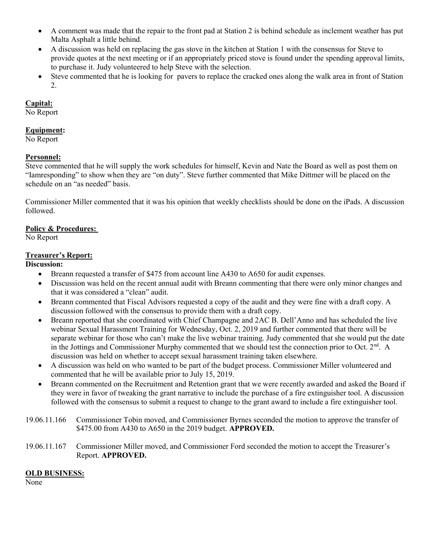- A comment was made that the repair to the front pad at Station 2 is behind schedule as inclement weather has put Malta Asphalt a little behind.
- A discussion was held on replacing the gas stove in the kitchen at Station 1 with the consensus for Steve to provide quotes at the next meeting or if an appropriately priced stove is found under the spending approval limits, to purchase it. Judy volunteered to help Steve with the selection.
- Steve commented that he is looking for pavers to replace the cracked ones along the walk area in front of Station 2.

#### Capital:

No Report

## Equipment:

No Report

## Personnel:

Steve commented that he will supply the work schedules for himself, Kevin and Nate the Board as well as post them on "Iamresponding" to show when they are "on duty". Steve further commented that Mike Dittmer will be placed on the schedule on an "as needed" basis.

Commissioner Miller commented that it was his opinion that weekly checklists should be done on the iPads. A discussion followed.

## Policy & Procedures:

No Report

## Treasurer's Report:

Discussion:

- Breann requested a transfer of \$475 from account line A430 to A650 for audit expenses.
- Discussion was held on the recent annual audit with Breann commenting that there were only minor changes and that it was considered a "clean" audit.
- Breann commented that Fiscal Advisors requested a copy of the audit and they were fine with a draft copy. A discussion followed with the consensus to provide them with a draft copy.
- Breann reported that she coordinated with Chief Champagne and 2AC B. Dell'Anno and has scheduled the live webinar Sexual Harassment Training for Wednesday, Oct. 2, 2019 and further commented that there will be separate webinar for those who can't make the live webinar training. Judy commented that she would put the date in the Jottings and Commissioner Murphy commented that we should test the connection prior to Oct.  $2<sup>nd</sup>$ . A discussion was held on whether to accept sexual harassment training taken elsewhere.
- A discussion was held on who wanted to be part of the budget process. Commissioner Miller volunteered and commented that he will be available prior to July 15, 2019.
- Breann commented on the Recruitment and Retention grant that we were recently awarded and asked the Board if they were in favor of tweaking the grant narrative to include the purchase of a fire extinguisher tool. A discussion followed with the consensus to submit a request to change to the grant award to include a fire extinguisher tool.
- 19.06.11.166 Commissioner Tobin moved, and Commissioner Byrnes seconded the motion to approve the transfer of \$475.00 from A430 to A650 in the 2019 budget. **APPROVED.**
- 19.06.11.167 Commissioner Miller moved, and Commissioner Ford seconded the motion to accept the Treasurer's Report. APPROVED.

## OLD BUSINESS:

None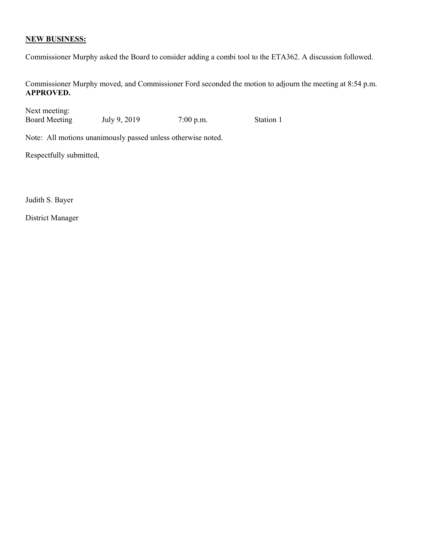## NEW BUSINESS:

Commissioner Murphy asked the Board to consider adding a combi tool to the ETA362. A discussion followed.

Commissioner Murphy moved, and Commissioner Ford seconded the motion to adjourn the meeting at 8:54 p.m. APPROVED.

Next meeting: Board Meeting July 9, 2019 7:00 p.m. Station 1

Note: All motions unanimously passed unless otherwise noted.

Respectfully submitted,

Judith S. Bayer

District Manager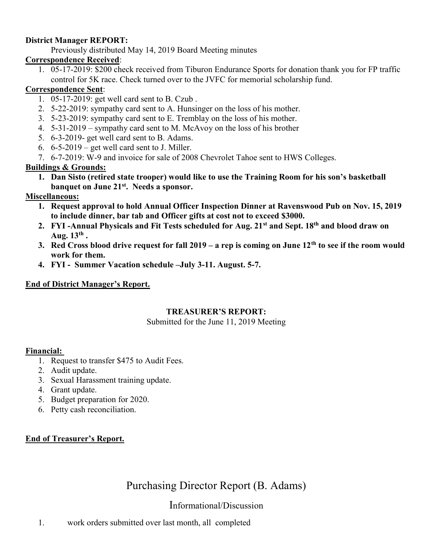## District Manager REPORT:

Previously distributed May 14, 2019 Board Meeting minutes

## Correspondence Received:

1. 05-17-2019: \$200 check received from Tiburon Endurance Sports for donation thank you for FP traffic control for 5K race. Check turned over to the JVFC for memorial scholarship fund.

## Correspondence Sent:

- 1. 05-17-2019: get well card sent to B. Czub .
- 2. 5-22-2019: sympathy card sent to A. Hunsinger on the loss of his mother.
- 3. 5-23-2019: sympathy card sent to E. Tremblay on the loss of his mother.
- 4. 5-31-2019 sympathy card sent to M. McAvoy on the loss of his brother
- 5. 6-3-2019- get well card sent to B. Adams.
- 6.  $6-5-2019$  get well card sent to J. Miller.
- 7. 6-7-2019: W-9 and invoice for sale of 2008 Chevrolet Tahoe sent to HWS Colleges.

# Buildings & Grounds:

1. Dan Sisto (retired state trooper) would like to use the Training Room for his son's basketball banquet on June 21<sup>st</sup>. Needs a sponsor.

## Miscellaneous:

- 1. Request approval to hold Annual Officer Inspection Dinner at Ravenswood Pub on Nov. 15, 2019 to include dinner, bar tab and Officer gifts at cost not to exceed \$3000.
- 2. FYI -Annual Physicals and Fit Tests scheduled for Aug. 21<sup>st</sup> and Sept. 18<sup>th</sup> and blood draw on Aug.  $13^{\text{th}}$  .
- 3. Red Cross blood drive request for fall  $2019 a$  rep is coming on June  $12<sup>th</sup>$  to see if the room would work for them.
- 4. FYI Summer Vacation schedule –July 3-11. August. 5-7.

## End of District Manager's Report.

# TREASURER'S REPORT:

Submitted for the June 11, 2019 Meeting

## Financial:

- 1. Request to transfer \$475 to Audit Fees.
- 2. Audit update.
- 3. Sexual Harassment training update.
- 4. Grant update.
- 5. Budget preparation for 2020.
- 6. Petty cash reconciliation.

# End of Treasurer's Report.

# Purchasing Director Report (B. Adams)

# Informational/Discussion

1. work orders submitted over last month, all completed